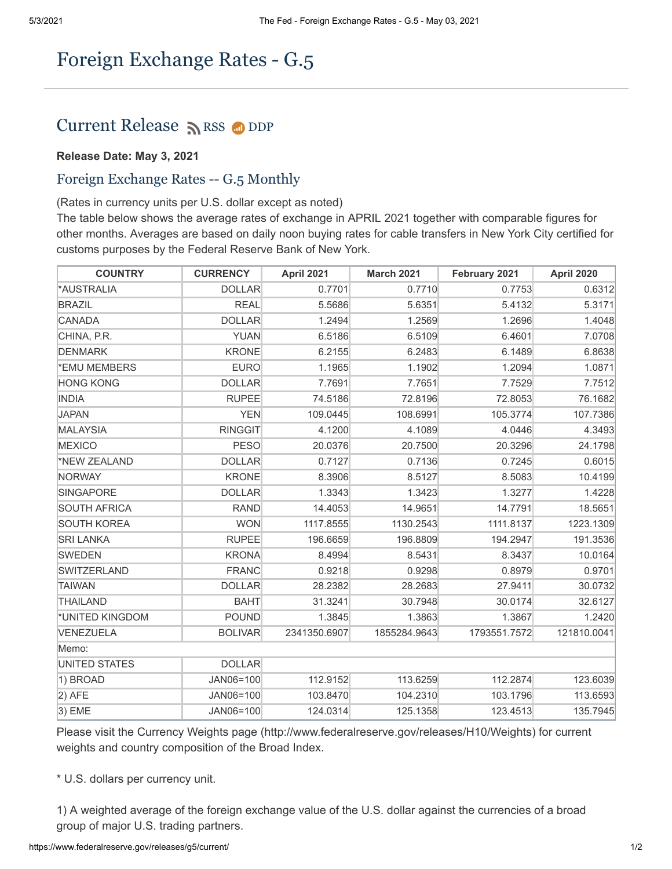## Foreign Exchange Rates - G.5

## Current Release [RSS](https://www.federalreserve.gov/feeds) O[DDP](https://www.federalreserve.gov/datadownload/Choose.aspx?rel=H10)

## **Release Date: May 3, 2021**

## Foreign Exchange Rates -- G.5 Monthly

(Rates in currency units per U.S. dollar except as noted)

The table below shows the average rates of exchange in APRIL 2021 together with comparable figures for other months. Averages are based on daily noon buying rates for cable transfers in New York City certified for customs purposes by the Federal Reserve Bank of New York.

| <b>COUNTRY</b>      | <b>CURRENCY</b> | <b>April 2021</b> | <b>March 2021</b> | February 2021 | <b>April 2020</b> |
|---------------------|-----------------|-------------------|-------------------|---------------|-------------------|
| *AUSTRALIA          | <b>DOLLAR</b>   | 0.7701            | 0.7710            | 0.7753        | 0.6312            |
| <b>BRAZIL</b>       | <b>REAL</b>     | 5.5686            | 5.6351            | 5.4132        | 5.3171            |
| CANADA              | <b>DOLLAR</b>   | 1.2494            | 1.2569            | 1.2696        | 1.4048            |
| CHINA, P.R.         | <b>YUAN</b>     | 6.5186            | 6.5109            | 6.4601        | 7.0708            |
| DENMARK             | <b>KRONE</b>    | 6.2155            | 6.2483            | 6.1489        | 6.8638            |
| *EMU MEMBERS        | <b>EURO</b>     | 1.1965            | 1.1902            | 1.2094        | 1.0871            |
| <b>HONG KONG</b>    | <b>DOLLAR</b>   | 7.7691            | 7.7651            | 7.7529        | 7.7512            |
| <b>INDIA</b>        | <b>RUPEE</b>    | 74.5186           | 72.8196           | 72.8053       | 76.1682           |
| <b>JAPAN</b>        | <b>YEN</b>      | 109.0445          | 108.6991          | 105.3774      | 107.7386          |
| MALAYSIA            | <b>RINGGIT</b>  | 4.1200            | 4.1089            | 4.0446        | 4.3493            |
| <b>MEXICO</b>       | <b>PESO</b>     | 20.0376           | 20.7500           | 20.3296       | 24.1798           |
| *NEW ZEALAND        | <b>DOLLAR</b>   | 0.7127            | 0.7136            | 0.7245        | 0.6015            |
| NORWAY              | <b>KRONE</b>    | 8.3906            | 8.5127            | 8.5083        | 10.4199           |
| <b>SINGAPORE</b>    | <b>DOLLAR</b>   | 1.3343            | 1.3423            | 1.3277        | 1.4228            |
| <b>SOUTH AFRICA</b> | <b>RAND</b>     | 14.4053           | 14.9651           | 14.7791       | 18.5651           |
| <b>SOUTH KOREA</b>  | <b>WON</b>      | 1117.8555         | 1130.2543         | 1111.8137     | 1223.1309         |
| <b>SRI LANKA</b>    | <b>RUPEE</b>    | 196.6659          | 196.8809          | 194.2947      | 191.3536          |
| SWEDEN              | <b>KRONA</b>    | 8.4994            | 8.5431            | 8.3437        | 10.0164           |
| SWITZERLAND         | <b>FRANC</b>    | 0.9218            | 0.9298            | 0.8979        | 0.9701            |
| TAIWAN              | <b>DOLLAR</b>   | 28.2382           | 28.2683           | 27.9411       | 30.0732           |
| <b>THAILAND</b>     | <b>BAHT</b>     | 31.3241           | 30.7948           | 30.0174       | 32.6127           |
| *UNITED KINGDOM     | <b>POUND</b>    | 1.3845            | 1.3863            | 1.3867        | 1.2420            |
| VENEZUELA           | <b>BOLIVAR</b>  | 2341350.6907      | 1855284.9643      | 1793551.7572  | 121810.0041       |
| Memo:               |                 |                   |                   |               |                   |
| UNITED STATES       | <b>DOLLAR</b>   |                   |                   |               |                   |
| 1) BROAD            | JAN06=100       | 112.9152          | 113.6259          | 112.2874      | 123.6039          |
| $ 2)$ AFE           | JAN06=100       | 103.8470          | 104.2310          | 103.1796      | 113.6593          |
| $ 3)$ EME           | JAN06=100       | 124.0314          | 125.1358          | 123.4513      | 135.7945          |

Please visit the Currency Weights page (http://www.federalreserve.gov/releases/H10/Weights) for current weights and country composition of the Broad Index.

\* U.S. dollars per currency unit.

1) A weighted average of the foreign exchange value of the U.S. dollar against the currencies of a broad group of major U.S. trading partners.